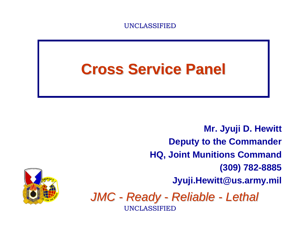

### **Cross Service Panel Cross Service Panel**

*JMC - Ready - Reliable - Lethal* UNCLASSIFIED UNCLASSIFIED**Mr. Jyuji D. Hewitt Deputy to the Commander HQ, Joint Munitions Command (309) 782-8885 Jyuji.Hewitt@us.army.mil**

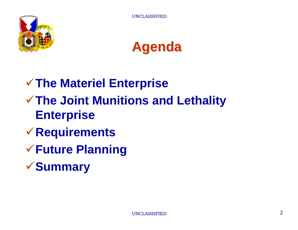



## **The Materiel Enterprise The Joint Munitions and Lethality Enterprise**

- **Requirements**
- **Future Planning**
- **Summary**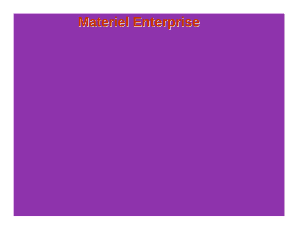#### **Materiel Enterprise**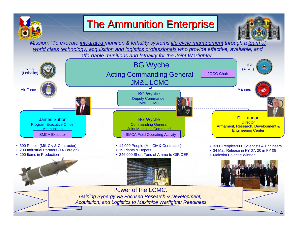

#### UNCLASSIFIED AND DESCRIPTION OF **The Ammunition Enterprise**



*Mission: "To execute integrated munition & lethality systems life cycle management through a team of world class technology, acquisition and logistics professionals who provide effective, available, and affordable munitions and lethality for the Joint Warfighter."*

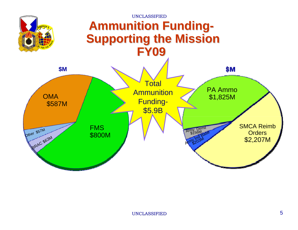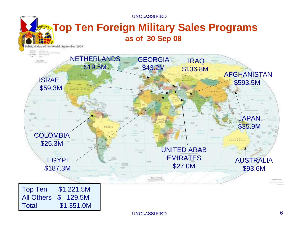UNCLASSIFIED

#### **Top Ten Foreign Military Sales Programs as of 30 Sep 08**  Political Map of the World, September 2008



Total \$1,351.0M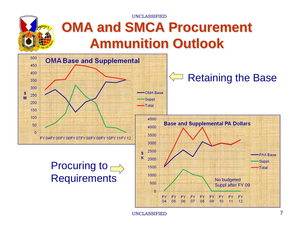UNCLASSIFIED



## **OMA and SMCA Procurement Ammunition Outlook Ammunition Outlook**



UNCLASSIFIED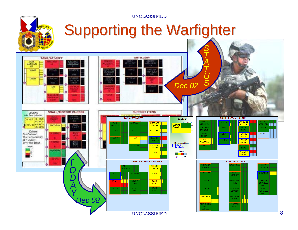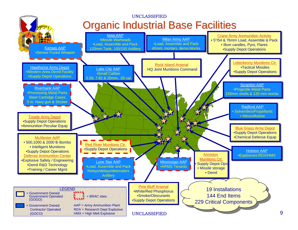

9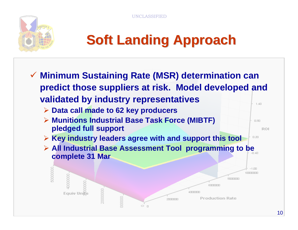**CLASSIFIED** 



# **Soft Landing Approach Soft Landing Approach**

- **Minimum Sustaining Rate (MSR) determination can predict those suppliers at risk. Model developed and validated by industry representatives**  $1.40$ 
	- **Data call made to 62 key producers**
	- **Munitions Industrial Base Task Force (MIBTF) pledged full support**
	- **Key industry leaders agree with and support this tool**
	- **All Industrial Base Assessment Tool programming to be complete 31 Mar**



 $0.80$ 

 $0.20$ 

**ROI**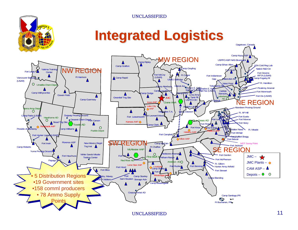UNCLASSIFIED

#### **Integrated Logistics Integrated Logistics**

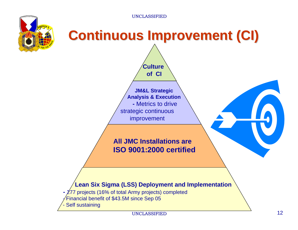

# **Continuous Improvement (CI)**

**JM&L Strategic Analysis & Execution -** Metrics to drivestrategic continuous improvement

**Culture of CI**

#### **All JMC Installations are ISO 9001:2000 certified**



- Financial benefit of \$43.5M since Sep 05
- Self sustaining